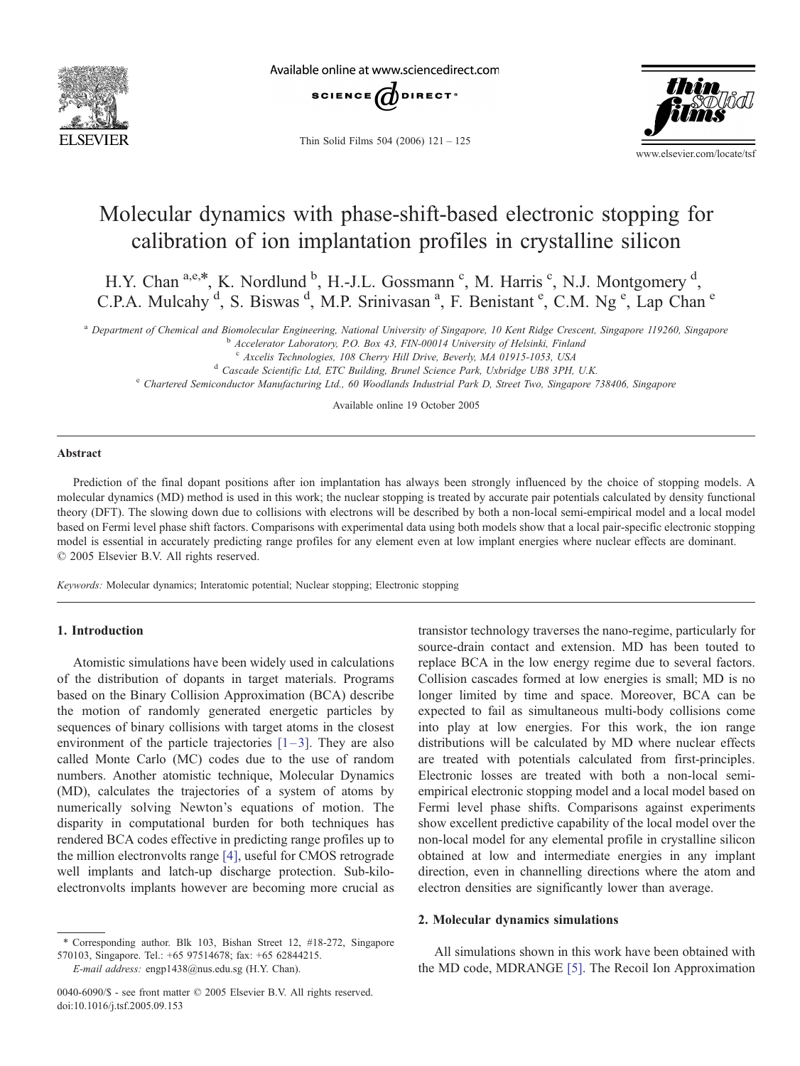

Available online at www.sciencedirect.com



Thin Solid Films 504 (2006) 121 – 125



# Molecular dynamics with phase-shift-based electronic stopping for calibration of ion implantation profiles in crystalline silicon

H.Y. Chan <sup>a,e,\*</sup>, K. Nordlund <sup>b</sup>, H.-J.L. Gossmann <sup>c</sup>, M. Harris <sup>c</sup>, N.J. Montgomery <sup>d</sup>, C.P.A. Mulcahy<sup>d</sup>, S. Biswas<sup>d</sup>, M.P. Srinivasan<sup>a</sup>, F. Benistant<sup>e</sup>, C.M. Ng<sup>e</sup>, Lap Chan<sup>e</sup>

<sup>a</sup> Department of Chemical and Biomolecular Engineering, National University of Singapore, 10 Kent Ridge Crescent, Singapore 119260, Singapore

<sup>b</sup> Accelerator Laboratory, P.O. Box 43, FIN-00014 University of Helsinki, Finland

<sup>e</sup> Axcelis Technologies, 108 Cherry Hill Drive, Beverly, MA 01915-1053, USA<br><sup>d</sup> Cascade Scientific Ltd, ETC Building, Brunel Science Park, Uxbridge UB8 3PH, U.K.<br>Chartered Semiconductor Manufacturing Ltd., 60 Woodlands In

Available online 19 October 2005

#### Abstract

Prediction of the final dopant positions after ion implantation has always been strongly influenced by the choice of stopping models. A molecular dynamics (MD) method is used in this work; the nuclear stopping is treated by accurate pair potentials calculated by density functional theory (DFT). The slowing down due to collisions with electrons will be described by both a non-local semi-empirical model and a local model based on Fermi level phase shift factors. Comparisons with experimental data using both models show that a local pair-specific electronic stopping model is essential in accurately predicting range profiles for any element even at low implant energies where nuclear effects are dominant.  $\odot$  2005 Elsevier B.V. All rights reserved.

Keywords: Molecular dynamics; Interatomic potential; Nuclear stopping; Electronic stopping

# 1. Introduction

Atomistic simulations have been widely used in calculations of the distribution of dopants in target materials. Programs based on the Binary Collision Approximation (BCA) describe the motion of randomly generated energetic particles by sequences of binary collisions with target atoms in the closest environment of the particle trajectories  $[1-3]$ . They are also called Monte Carlo (MC) codes due to the use of random numbers. Another atomistic technique, Molecular Dynamics (MD), calculates the trajectories of a system of atoms by numerically solving Newton's equations of motion. The disparity in computational burden for both techniques has rendered BCA codes effective in predicting range profiles up to the million electronvolts range [\[4\],](#page-4-0) useful for CMOS retrograde well implants and latch-up discharge protection. Sub-kiloelectronvolts implants however are becoming more crucial as

\* Corresponding author. Blk 103, Bishan Street 12, #18-272, Singapore 570103, Singapore. Tel.: +65 97514678; fax: +65 62844215.

E-mail address: engp1438@nus.edu.sg (H.Y. Chan).

transistor technology traverses the nano-regime, particularly for source-drain contact and extension. MD has been touted to replace BCA in the low energy regime due to several factors. Collision cascades formed at low energies is small; MD is no longer limited by time and space. Moreover, BCA can be expected to fail as simultaneous multi-body collisions come into play at low energies. For this work, the ion range distributions will be calculated by MD where nuclear effects are treated with potentials calculated from first-principles. Electronic losses are treated with both a non-local semiempirical electronic stopping model and a local model based on Fermi level phase shifts. Comparisons against experiments show excellent predictive capability of the local model over the non-local model for any elemental profile in crystalline silicon obtained at low and intermediate energies in any implant direction, even in channelling directions where the atom and electron densities are significantly lower than average.

# 2. Molecular dynamics simulations

All simulations shown in this work have been obtained with the MD code, MDRANGE [\[5](#page-4-0)]. The Recoil Ion Approximation

<sup>0040-6090/\$ -</sup> see front matter © 2005 Elsevier B.V. All rights reserved. doi:10.1016/j.tsf.2005.09.153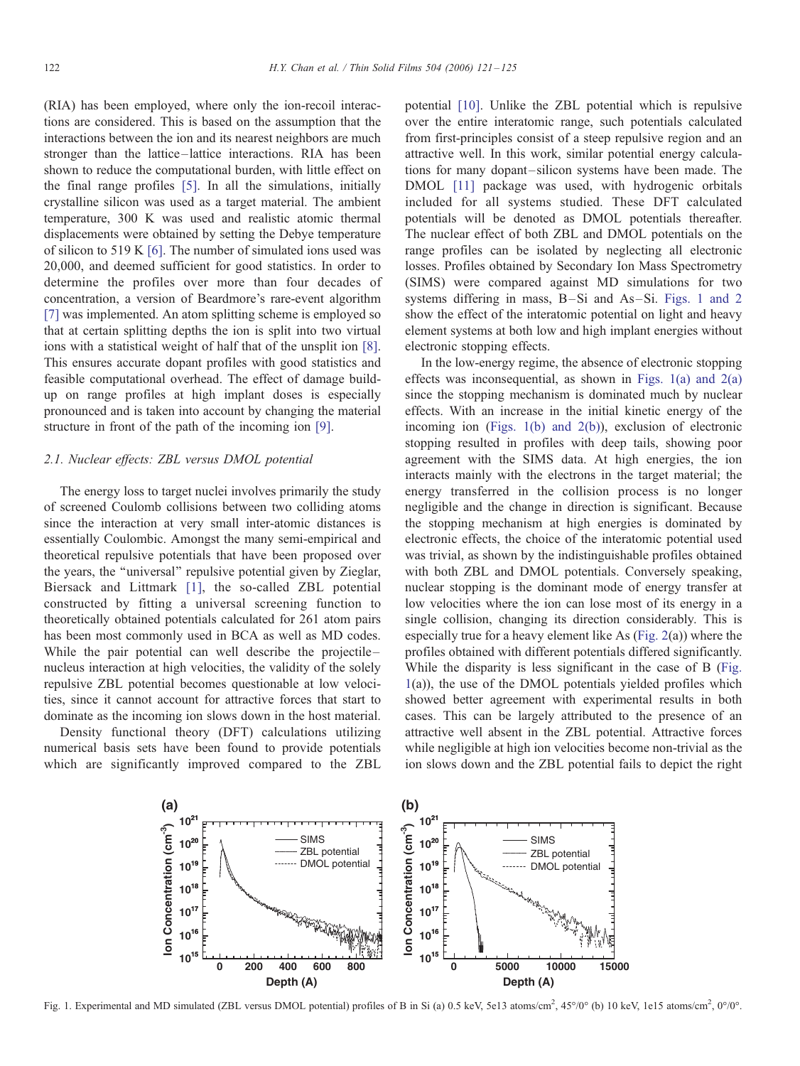(RIA) has been employed, where only the ion-recoil interactions are considered. This is based on the assumption that the interactions between the ion and its nearest neighbors are much stronger than the lattice –lattice interactions. RIA has been shown to reduce the computational burden, with little effect on the final range profiles [\[5\].](#page-4-0) In all the simulations, initially crystalline silicon was used as a target material. The ambient temperature, 300 K was used and realistic atomic thermal displacements were obtained by setting the Debye temperature of silicon to 519 K [\[6\].](#page-4-0) The number of simulated ions used was 20,000, and deemed sufficient for good statistics. In order to determine the profiles over more than four decades of concentration, a version of Beardmore's rare-event algorithm [\[7\]](#page-4-0) was implemented. An atom splitting scheme is employed so that at certain splitting depths the ion is split into two virtual ions with a statistical weight of half that of the unsplit ion [\[8\].](#page-4-0) This ensures accurate dopant profiles with good statistics and feasible computational overhead. The effect of damage buildup on range profiles at high implant doses is especially pronounced and is taken into account by changing the material structure in front of the path of the incoming ion [\[9\].](#page-4-0)

## 2.1. Nuclear effects: ZBL versus DMOL potential

The energy loss to target nuclei involves primarily the study of screened Coulomb collisions between two colliding atoms since the interaction at very small inter-atomic distances is essentially Coulombic. Amongst the many semi-empirical and theoretical repulsive potentials that have been proposed over the years, the ''universal'' repulsive potential given by Zieglar, Biersack and Littmark [\[1\],](#page-4-0) the so-called ZBL potential constructed by fitting a universal screening function to theoretically obtained potentials calculated for 261 atom pairs has been most commonly used in BCA as well as MD codes. While the pair potential can well describe the projectile – nucleus interaction at high velocities, the validity of the solely repulsive ZBL potential becomes questionable at low velocities, since it cannot account for attractive forces that start to dominate as the incoming ion slows down in the host material.

Density functional theory (DFT) calculations utilizing numerical basis sets have been found to provide potentials which are significantly improved compared to the ZBL

potential [\[10\].](#page-4-0) Unlike the ZBL potential which is repulsive over the entire interatomic range, such potentials calculated from first-principles consist of a steep repulsive region and an attractive well. In this work, similar potential energy calculations for many dopant – silicon systems have been made. The DMOL [\[11\]](#page-4-0) package was used, with hydrogenic orbitals included for all systems studied. These DFT calculated potentials will be denoted as DMOL potentials thereafter. The nuclear effect of both ZBL and DMOL potentials on the range profiles can be isolated by neglecting all electronic losses. Profiles obtained by Secondary Ion Mass Spectrometry (SIMS) were compared against MD simulations for two systems differing in mass, B-Si and As-Si. Figs. 1 and 2 show the effect of the interatomic potential on light and heavy element systems at both low and high implant energies without electronic stopping effects.

In the low-energy regime, the absence of electronic stopping effects was inconsequential, as shown in Figs.  $1(a)$  and  $2(a)$ since the stopping mechanism is dominated much by nuclear effects. With an increase in the initial kinetic energy of the incoming ion (Figs. 1(b) and 2(b)), exclusion of electronic stopping resulted in profiles with deep tails, showing poor agreement with the SIMS data. At high energies, the ion interacts mainly with the electrons in the target material; the energy transferred in the collision process is no longer negligible and the change in direction is significant. Because the stopping mechanism at high energies is dominated by electronic effects, the choice of the interatomic potential used was trivial, as shown by the indistinguishable profiles obtained with both ZBL and DMOL potentials. Conversely speaking, nuclear stopping is the dominant mode of energy transfer at low velocities where the ion can lose most of its energy in a single collision, changing its direction considerably. This is especially true for a heavy element like As ([Fig. 2\(](#page-2-0)a)) where the profiles obtained with different potentials differed significantly. While the disparity is less significant in the case of B (Fig. 1(a)), the use of the DMOL potentials yielded profiles which showed better agreement with experimental results in both cases. This can be largely attributed to the presence of an attractive well absent in the ZBL potential. Attractive forces while negligible at high ion velocities become non-trivial as the ion slows down and the ZBL potential fails to depict the right



Fig. 1. Experimental and MD simulated (ZBL versus DMOL potential) profiles of B in Si (a) 0.5 keV, 5e13 atoms/cm<sup>2</sup>, 45°/0° (b) 10 keV, 1e15 atoms/cm<sup>2</sup>, 0°/0°.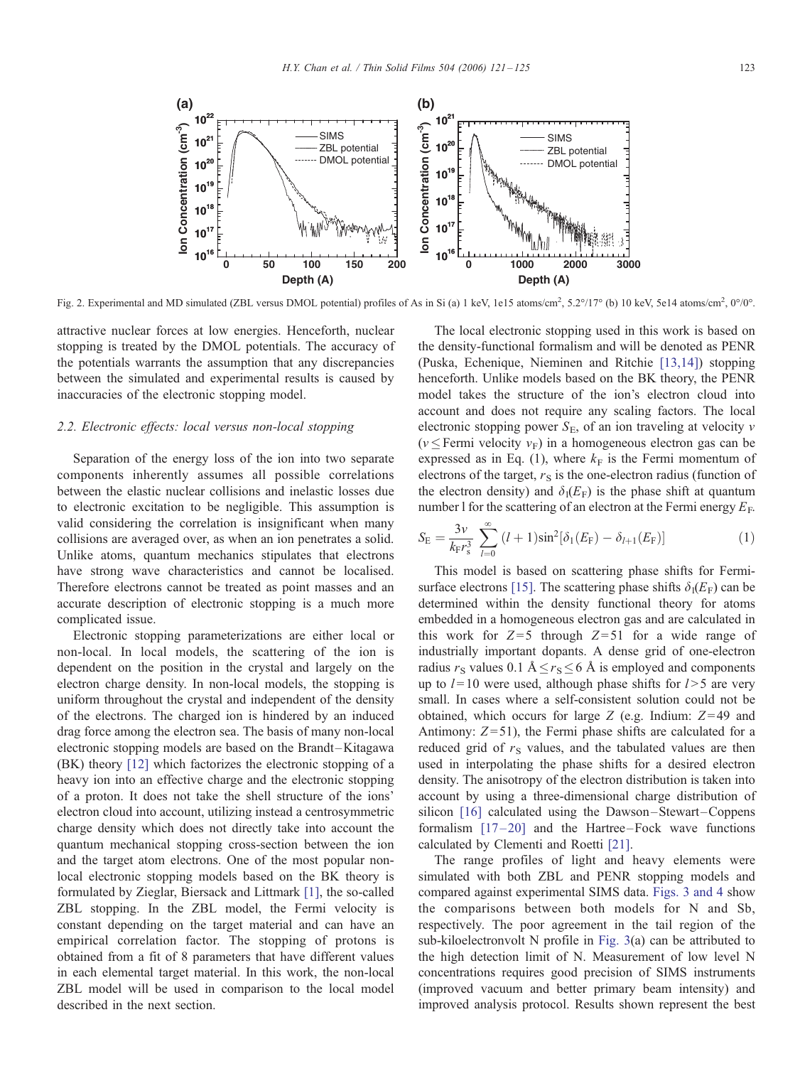<span id="page-2-0"></span>

Fig. 2. Experimental and MD simulated (ZBL versus DMOL potential) profiles of As in Si (a) 1 keV, 1e15 atoms/cm<sup>2</sup>, 5.2°/17° (b) 10 keV, 5e14 atoms/cm<sup>2</sup>, 0°/0°.

attractive nuclear forces at low energies. Henceforth, nuclear stopping is treated by the DMOL potentials. The accuracy of the potentials warrants the assumption that any discrepancies between the simulated and experimental results is caused by inaccuracies of the electronic stopping model.

#### 2.2. Electronic effects: local versus non-local stopping

Separation of the energy loss of the ion into two separate components inherently assumes all possible correlations between the elastic nuclear collisions and inelastic losses due to electronic excitation to be negligible. This assumption is valid considering the correlation is insignificant when many collisions are averaged over, as when an ion penetrates a solid. Unlike atoms, quantum mechanics stipulates that electrons have strong wave characteristics and cannot be localised. Therefore electrons cannot be treated as point masses and an accurate description of electronic stopping is a much more complicated issue.

Electronic stopping parameterizations are either local or non-local. In local models, the scattering of the ion is dependent on the position in the crystal and largely on the electron charge density. In non-local models, the stopping is uniform throughout the crystal and independent of the density of the electrons. The charged ion is hindered by an induced drag force among the electron sea. The basis of many non-local electronic stopping models are based on the Brandt –Kitagawa (BK) theory [\[12\]](#page-4-0) which factorizes the electronic stopping of a heavy ion into an effective charge and the electronic stopping of a proton. It does not take the shell structure of the ions' electron cloud into account, utilizing instead a centrosymmetric charge density which does not directly take into account the quantum mechanical stopping cross-section between the ion and the target atom electrons. One of the most popular nonlocal electronic stopping models based on the BK theory is formulated by Zieglar, Biersack and Littmark [\[1\],](#page-4-0) the so-called ZBL stopping. In the ZBL model, the Fermi velocity is constant depending on the target material and can have an empirical correlation factor. The stopping of protons is obtained from a fit of 8 parameters that have different values in each elemental target material. In this work, the non-local ZBL model will be used in comparison to the local model described in the next section.

The local electronic stopping used in this work is based on the density-functional formalism and will be denoted as PENR (Puska, Echenique, Nieminen and Ritchie [\[13,14](#page-4-0)]) stopping henceforth. Unlike models based on the BK theory, the PENR model takes the structure of the ion's electron cloud into account and does not require any scaling factors. The local electronic stopping power  $S_E$ , of an ion traveling at velocity v  $(v \leq$  Fermi velocity  $v_F$ ) in a homogeneous electron gas can be expressed as in Eq. (1), where  $k_F$  is the Fermi momentum of electrons of the target,  $r<sub>S</sub>$  is the one-electron radius (function of the electron density) and  $\delta_1(E_F)$  is the phase shift at quantum number l for the scattering of an electron at the Fermi energy  $E_F$ .

$$
S_{\rm E} = \frac{3\nu}{k_{\rm F}r_{\rm s}^3} \sum_{l=0}^{\infty} (l+1)\sin^2[\delta_1(E_{\rm F}) - \delta_{l+1}(E_{\rm F})] \tag{1}
$$

This model is based on scattering phase shifts for Fermi-surface electrons [\[15](#page-4-0)]. The scattering phase shifts  $\delta_l(E_F)$  can be determined within the density functional theory for atoms embedded in a homogeneous electron gas and are calculated in this work for  $Z=5$  through  $Z=51$  for a wide range of industrially important dopants. A dense grid of one-electron radius  $r_s$  values 0.1  $A \le r_s \le 6$  Å is employed and components up to  $l = 10$  were used, although phase shifts for  $l > 5$  are very small. In cases where a self-consistent solution could not be obtained, which occurs for large  $Z$  (e.g. Indium:  $Z=49$  and Antimony:  $Z = 51$ ), the Fermi phase shifts are calculated for a reduced grid of  $r<sub>S</sub>$  values, and the tabulated values are then used in interpolating the phase shifts for a desired electron density. The anisotropy of the electron distribution is taken into account by using a three-dimensional charge distribution of silicon [\[16](#page-4-0)] calculated using the Dawson-Stewart-Coppens formalism  $[17-20]$  and the Hartree–Fock wave functions calculated by Clementi and Roetti [\[21](#page-4-0)].

The range profiles of light and heavy elements were simulated with both ZBL and PENR stopping models and compared against experimental SIMS data. [Figs. 3 and 4](#page-3-0) show the comparisons between both models for N and Sb, respectively. The poor agreement in the tail region of the sub-kiloelectronvolt N profile in [Fig. 3](#page-3-0)(a) can be attributed to the high detection limit of N. Measurement of low level N concentrations requires good precision of SIMS instruments (improved vacuum and better primary beam intensity) and improved analysis protocol. Results shown represent the best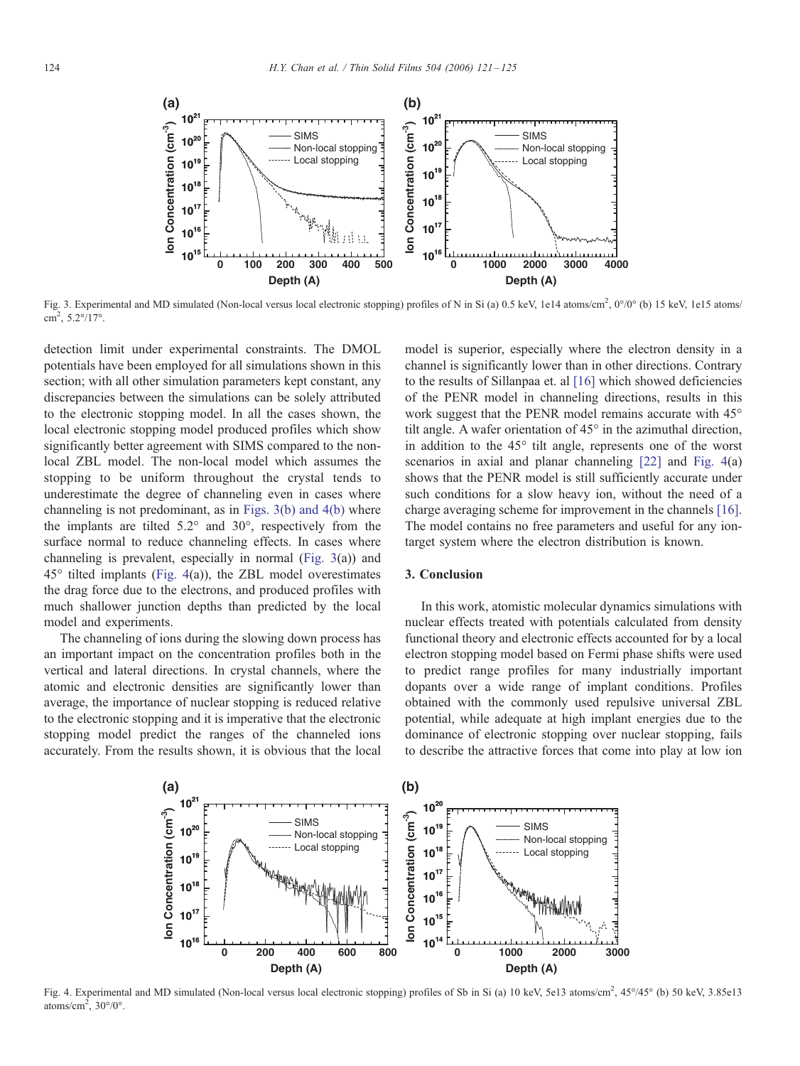<span id="page-3-0"></span>

Fig. 3. Experimental and MD simulated (Non-local versus local electronic stopping) profiles of N in Si (a) 0.5 keV, 1e14 atoms/cm<sup>2</sup>, 0°/0° (b) 15 keV, 1e15 atoms/ cm<sup>2</sup>,  $5.2^{\circ}/17^{\circ}$ .

detection limit under experimental constraints. The DMOL potentials have been employed for all simulations shown in this section; with all other simulation parameters kept constant, any discrepancies between the simulations can be solely attributed to the electronic stopping model. In all the cases shown, the local electronic stopping model produced profiles which show significantly better agreement with SIMS compared to the nonlocal ZBL model. The non-local model which assumes the stopping to be uniform throughout the crystal tends to underestimate the degree of channeling even in cases where channeling is not predominant, as in Figs. 3(b) and 4(b) where the implants are tilted  $5.2^{\circ}$  and  $30^{\circ}$ , respectively from the surface normal to reduce channeling effects. In cases where channeling is prevalent, especially in normal (Fig. 3(a)) and  $45^{\circ}$  tilted implants (Fig. 4(a)), the ZBL model overestimates the drag force due to the electrons, and produced profiles with much shallower junction depths than predicted by the local model and experiments.

The channeling of ions during the slowing down process has an important impact on the concentration profiles both in the vertical and lateral directions. In crystal channels, where the atomic and electronic densities are significantly lower than average, the importance of nuclear stopping is reduced relative to the electronic stopping and it is imperative that the electronic stopping model predict the ranges of the channeled ions accurately. From the results shown, it is obvious that the local

model is superior, especially where the electron density in a channel is significantly lower than in other directions. Contrary to the results of Sillanpaa et. al [\[16\]](#page-4-0) which showed deficiencies of the PENR model in channeling directions, results in this work suggest that the PENR model remains accurate with 45° tilt angle. A wafer orientation of  $45^\circ$  in the azimuthal direction, in addition to the  $45^\circ$  tilt angle, represents one of the worst scenarios in axial and planar channeling [\[22\]](#page-4-0) and Fig. 4(a) shows that the PENR model is still sufficiently accurate under such conditions for a slow heavy ion, without the need of a charge averaging scheme for improvement in the channels [\[16\].](#page-4-0) The model contains no free parameters and useful for any iontarget system where the electron distribution is known.

## 3. Conclusion

In this work, atomistic molecular dynamics simulations with nuclear effects treated with potentials calculated from density functional theory and electronic effects accounted for by a local electron stopping model based on Fermi phase shifts were used to predict range profiles for many industrially important dopants over a wide range of implant conditions. Profiles obtained with the commonly used repulsive universal ZBL potential, while adequate at high implant energies due to the dominance of electronic stopping over nuclear stopping, fails to describe the attractive forces that come into play at low ion



Fig. 4. Experimental and MD simulated (Non-local versus local electronic stopping) profiles of Sb in Si (a) 10 keV, 5e13 atoms/cm<sup>2</sup>, 45°/45° (b) 50 keV, 3.85e13 atoms/cm<sup>2</sup>,  $30^{\circ}/0^{\circ}$ .